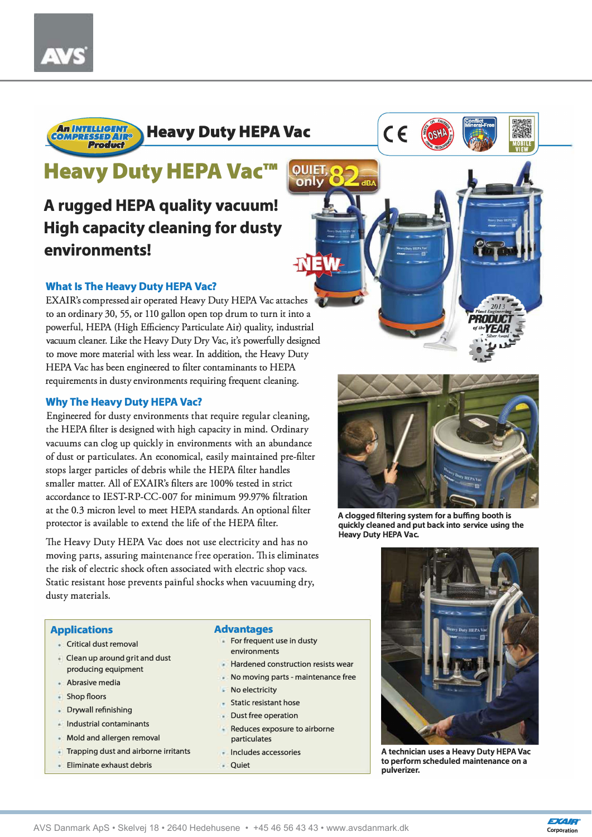

## **Heavy Duty HEPA Vac™**

### **A rugged HEPA quality vacuum! High capacity cleaning for dusty environments!**

#### **What Is The Heavy Duty HEPA Vac?**

EXAIR's compressed air operared Heavy Duty HEPA Vac attaches to an ordinary 30, 55, or 110 gallon open top drum to turn it into a powerful, HEPA (High Efficiency Particulate Air) quality, industrial vacuum cleaner. Like the Heavy Duty Dry Vac, it's powerfully designed to move more material with less wear. In addition, the Heavy Duty HEPA Vac has been engineered to filter contaminants to HEPA requirements in dusty environments requiring frequent cleaning.

#### **Why The Heavy Duty HEPA Vac?**

**Clean up around grit and dust produclng equipment** 

**Abrasive media Shopfloors** 

 $\mathcal{L}^{\mathcal{L}}$ 

**Drywall refinishing lndustrial contaminants Mold and allergen removal Trapping dust and airborne irritants** 

**Elirninate exhaust debris** 

Engineered for dusty environments that require regular cleaning, the HEPA filter is designed with high capacity in mind. Ordinary vacuums can dog up quickly in environments with an abundance of dust or parriculates. An economical, easily maimained pre-filter stops larger particles of debris while the HEPA filter handles smaller matter. All of EXAIR's filters are 100% tested in strict accordance to IEST-RP-CC-007 for minimum 99.97% filtration at the 0.3 micron level to meet HEPA standards. An optional filter protector is available to extend the life of the HEPA filter.

The Heavy Duty HEPA Vac does not use electricity and has no moving parts, assuring mainrenance free operation. This eliminaces the risk of electric shock often associated with electric shop vacs. Static resistant hose prevents painful shocks when vacuuming dry, dusty materials.

#### **Applications Advantages**

- **Critical dust removal Forfrequent use in dusty environrnents** 
	- **Hardened construction resists wear**
	- **No rnovlng parts - rnalntenance free**
	- **No electricity**
	- **Static resistant hose**
	- **Oust free operation**
	- **Reduces exposure to airborne particulates**
	- **lncludes accessories**
	- **Quiet**



 $C \in$ 

only



**A dogged filtering system for a buffing booth is quickly cleaned and put back into service using the Heavy Duty HEPA Vac.** 



**A technician uses a Heavy Duty HEPA Vac to perform scheduled maintenance on a pulverizer.**